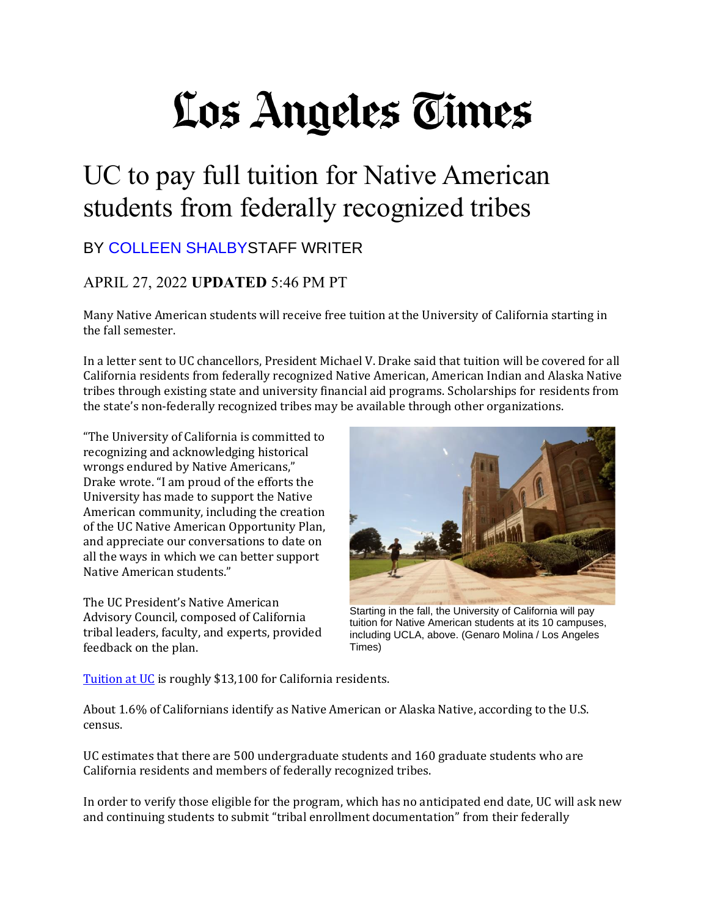## Los Angeles Times

## UC to pay full tuition for Native American students from federally recognized tribes

## BY [COLLEEN SHALBYS](https://www.latimes.com/people/colleen-shalby)TAFF WRITER

## APRIL 27, 2022 **UPDATED** 5:46 PM PT

Many Native American students will receive free tuition at the University of California starting in the fall semester.

In a letter sent to UC chancellors, President Michael V. Drake said that tuition will be covered for all California residents from federally recognized Native American, American Indian and Alaska Native tribes through existing state and university financial aid programs. Scholarships for residents from the state's non-federally recognized tribes may be available through other organizations.

"The University of California is committed to recognizing and acknowledging historical wrongs endured by Native Americans," Drake wrote. "I am proud of the efforts the University has made to support the Native American community, including the creation of the UC Native American Opportunity Plan, and appreciate our conversations to date on all the ways in which we can better support Native American students."

The UC President's Native American Advisory Council, composed of California tribal leaders, faculty, and experts, provided feedback on the plan.



Starting in the fall, the University of California will pay tuition for Native American students at its 10 campuses, including UCLA, above. (Genaro Molina / Los Angeles Times)

[Tuition at UC](https://admission.universityofcalifornia.edu/tuition-financial-aid/tuition-cost-of-attendance/) is roughly \$13,100 for California residents.

About 1.6% of Californians identify as Native American or Alaska Native, according to the U.S. census.

UC estimates that there are 500 undergraduate students and 160 graduate students who are California residents and members of federally recognized tribes.

In order to verify those eligible for the program, which has no anticipated end date, UC will ask new and continuing students to submit "tribal enrollment documentation" from their federally